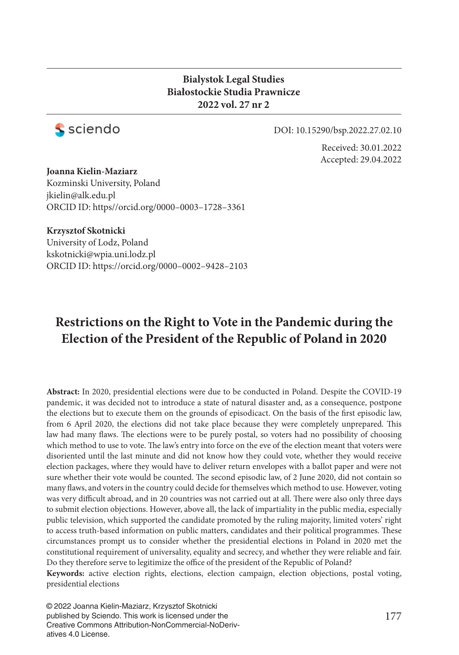#### **Bialystok Legal Studies Białostockie Studia Prawnicze 2022 vol. 27 nr 2**



DOI: 10.15290/bsp.2022.27.02.10

Received: 30.01.2022 Accepted: 29.04.2022

**Joanna Kielin-Maziarz** Kozminski University, Poland jkielin@alk.edu.pl ORCID ID: https//orcid.org/0000–0003–1728–3361

**Krzysztof Skotnicki**

University of Lodz, Poland kskotnicki@wpia.uni.lodz.pl ORCID ID: https://orcid.org/0000–0002–9428–2103

# **Restrictions on the Right to Vote in the Pandemic during the Election of the President of the Republic of Poland in 2020**

**Abstract:** In 2020, presidential elections were due to be conducted in Poland. Despite the COVID-19 pandemic, it was decided not to introduce a state of natural disaster and, as a consequence, postpone the elections but to execute them on the grounds of episodicact. On the basis of the first episodic law, from 6 April 2020, the elections did not take place because they were completely unprepared. This law had many flaws. The elections were to be purely postal, so voters had no possibility of choosing which method to use to vote. The law's entry into force on the eve of the election meant that voters were disoriented until the last minute and did not know how they could vote, whether they would receive election packages, where they would have to deliver return envelopes with a ballot paper and were not sure whether their vote would be counted. The second episodic law, of 2 June 2020, did not contain so many flaws, and voters in the country could decide for themselves which method to use. However, voting was very difficult abroad, and in 20 countries was not carried out at all. There were also only three days to submit election objections. However, above all, the lack of impartiality in the public media, especially public television, which supported the candidate promoted by the ruling majority, limited voters' right to access truth-based information on public matters, candidates and their political programmes. These circumstances prompt us to consider whether the presidential elections in Poland in 2020 met the constitutional requirement of universality, equality and secrecy, and whether they were reliable and fair. Do they therefore serve to legitimize the office of the president of the Republic of Poland? **Keywords:** active election rights, elections, election campaign, election objections, postal voting, presidential elections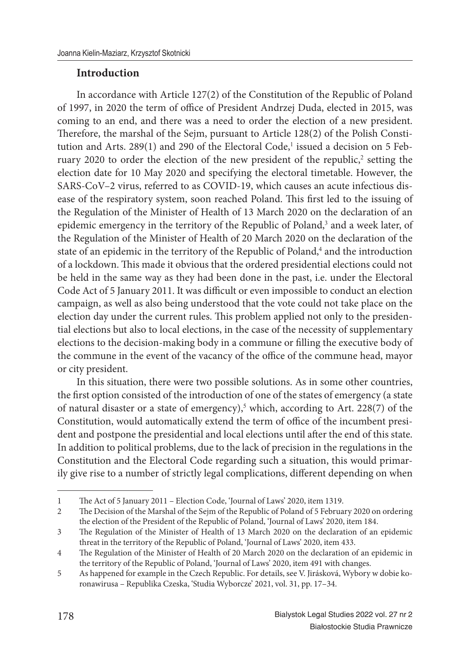## **Introduction**

In accordance with Article 127(2) of the Constitution of the Republic of Poland of 1997, in 2020 the term of office of President Andrzej Duda, elected in 2015, was coming to an end, and there was a need to order the election of a new president. Therefore, the marshal of the Sejm, pursuant to Article 128(2) of the Polish Constitution and Arts. 289(1) and 290 of the Electoral Code,<sup>1</sup> issued a decision on 5 February 2020 to order the election of the new president of the republic, $2$  setting the election date for 10 May 2020 and specifying the electoral timetable. However, the SARS-CoV–2 virus, referred to as COVID-19, which causes an acute infectious disease of the respiratory system, soon reached Poland. This first led to the issuing of the Regulation of the Minister of Health of 13 March 2020 on the declaration of an epidemic emergency in the territory of the Republic of Poland,<sup>3</sup> and a week later, of the Regulation of the Minister of Health of 20 March 2020 on the declaration of the state of an epidemic in the territory of the Republic of Poland,<sup>4</sup> and the introduction of a lockdown. This made it obvious that the ordered presidential elections could not be held in the same way as they had been done in the past, i.e. under the Electoral Code Act of 5 January 2011. It was difficult or even impossible to conduct an election campaign, as well as also being understood that the vote could not take place on the election day under the current rules. This problem applied not only to the presidential elections but also to local elections, in the case of the necessity of supplementary elections to the decision-making body in a commune or filling the executive body of the commune in the event of the vacancy of the office of the commune head, mayor or city president.

In this situation, there were two possible solutions. As in some other countries, the first option consisted of the introduction of one of the states of emergency (a state of natural disaster or a state of emergency),<sup>5</sup> which, according to Art. 228(7) of the Constitution, would automatically extend the term of office of the incumbent president and postpone the presidential and local elections until after the end of this state. In addition to political problems, due to the lack of precision in the regulations in the Constitution and the Electoral Code regarding such a situation, this would primarily give rise to a number of strictly legal complications, different depending on when

<sup>1</sup> The Act of 5 January 2011 – Election Code, 'Journal of Laws' 2020, item 1319.

<sup>2</sup> The Decision of the Marshal of the Sejm of the Republic of Poland of 5 February 2020 on ordering the election of the President of the Republic of Poland, 'Journal of Laws' 2020, item 184.

<sup>3</sup> The Regulation of the Minister of Health of 13 March 2020 on the declaration of an epidemic threat in the territory of the Republic of Poland, 'Journal of Laws' 2020, item 433.

<sup>4</sup> The Regulation of the Minister of Health of 20 March 2020 on the declaration of an epidemic in the territory of the Republic of Poland, 'Journal of Laws' 2020, item 491 with changes.

<sup>5</sup> As happened for example in the Czech Republic. For details, see V. Jirásková, Wybory w dobie koronawirusa – Republika Czeska, 'Studia Wyborcze' 2021, vol. 31, pp. 17–34.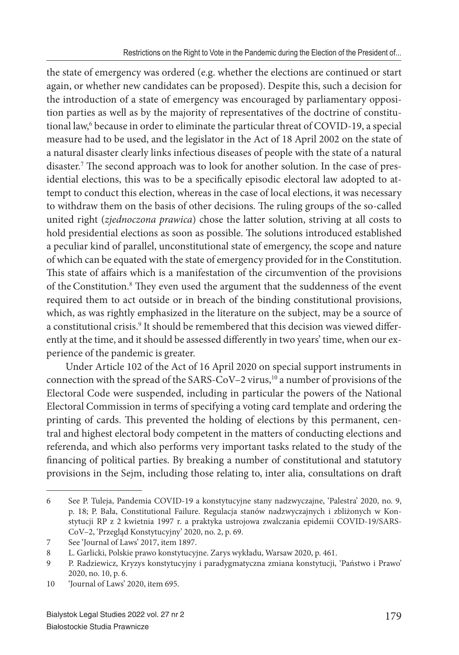the state of emergency was ordered (e.g. whether the elections are continued or start again, or whether new candidates can be proposed). Despite this, such a decision for the introduction of a state of emergency was encouraged by parliamentary opposition parties as well as by the majority of representatives of the doctrine of constitutional law,<sup>6</sup> because in order to eliminate the particular threat of COVID-19, a special measure had to be used, and the legislator in the Act of 18 April 2002 on the state of a natural disaster clearly links infectious diseases of people with the state of a natural disaster.<sup>7</sup> The second approach was to look for another solution. In the case of presidential elections, this was to be a specifically episodic electoral law adopted to attempt to conduct this election, whereas in the case of local elections, it was necessary to withdraw them on the basis of other decisions. The ruling groups of the so-called united right (*zjednoczona prawica*) chose the latter solution, striving at all costs to hold presidential elections as soon as possible. The solutions introduced established a peculiar kind of parallel, unconstitutional state of emergency, the scope and nature of which can be equated with the state of emergency provided for in the Constitution. This state of affairs which is a manifestation of the circumvention of the provisions of the Constitution.<sup>8</sup> They even used the argument that the suddenness of the event required them to act outside or in breach of the binding constitutional provisions, which, as was rightly emphasized in the literature on the subject, may be a source of a constitutional crisis.<sup>9</sup> It should be remembered that this decision was viewed differently at the time, and it should be assessed differently in two years' time, when our experience of the pandemic is greater.

Under Article 102 of the Act of 16 April 2020 on special support instruments in connection with the spread of the SARS-CoV–2 virus, $10$  a number of provisions of the Electoral Code were suspended, including in particular the powers of the National Electoral Commission in terms of specifying a voting card template and ordering the printing of cards. This prevented the holding of elections by this permanent, central and highest electoral body competent in the matters of conducting elections and referenda, and which also performs very important tasks related to the study of the financing of political parties. By breaking a number of constitutional and statutory provisions in the Sejm, including those relating to, inter alia, consultations on draft

<sup>6</sup> See P. Tuleja, Pandemia COVID-19 a konstytucyjne stany nadzwyczajne, 'Palestra' 2020, no. 9, p. 18; P. Bała, Constitutional Failure. Regulacja stanów nadzwyczajnych i zbliżonych w Konstytucji RP z 2 kwietnia 1997 r. a praktyka ustrojowa zwalczania epidemii COVID-19/SARS-CoV–2, 'Przegląd Konstytucyjny' 2020, no. 2, p. 69.

<sup>7</sup> See 'Journal of Laws' 2017, item 1897.

<sup>8</sup> L. Garlicki, Polskie prawo konstytucyjne. Zarys wykładu, Warsaw 2020, p. 461.

<sup>9</sup> P. Radziewicz, Kryzys konstytucyjny i paradygmatyczna zmiana konstytucji, 'Państwo i Prawo' 2020, no. 10, p. 6.

<sup>10 &#</sup>x27;Journal of Laws' 2020, item 695.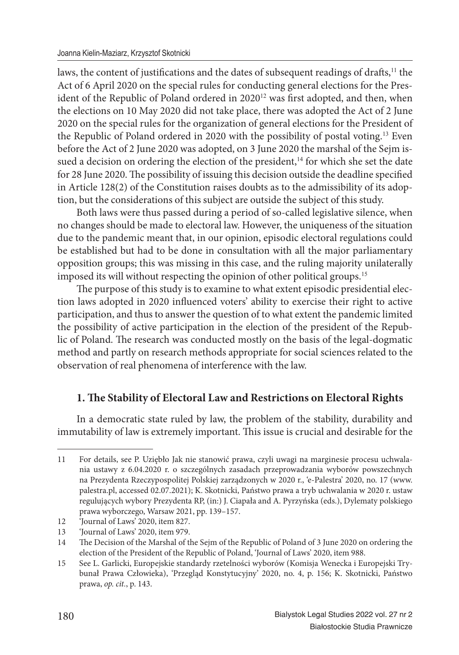laws, the content of justifications and the dates of subsequent readings of drafts,<sup>11</sup> the Act of 6 April 2020 on the special rules for conducting general elections for the President of the Republic of Poland ordered in 2020<sup>12</sup> was first adopted, and then, when the elections on 10 May 2020 did not take place, there was adopted the Act of 2 June 2020 on the special rules for the organization of general elections for the President of the Republic of Poland ordered in 2020 with the possibility of postal voting.<sup>13</sup> Even before the Act of 2 June 2020 was adopted, on 3 June 2020 the marshal of the Sejm issued a decision on ordering the election of the president,<sup>14</sup> for which she set the date for 28 June 2020. The possibility of issuing this decision outside the deadline specified in Article 128(2) of the Constitution raises doubts as to the admissibility of its adoption, but the considerations of this subject are outside the subject of this study.

Both laws were thus passed during a period of so-called legislative silence, when no changes should be made to electoral law. However, the uniqueness of the situation due to the pandemic meant that, in our opinion, episodic electoral regulations could be established but had to be done in consultation with all the major parliamentary opposition groups; this was missing in this case, and the ruling majority unilaterally imposed its will without respecting the opinion of other political groups.<sup>15</sup>

The purpose of this study is to examine to what extent episodic presidential election laws adopted in 2020 influenced voters' ability to exercise their right to active participation, and thus to answer the question of to what extent the pandemic limited the possibility of active participation in the election of the president of the Republic of Poland. The research was conducted mostly on the basis of the legal-dogmatic method and partly on research methods appropriate for social sciences related to the observation of real phenomena of interference with the law.

# **1. The Stability of Electoral Law and Restrictions on Electoral Rights**

In a democratic state ruled by law, the problem of the stability, durability and immutability of law is extremely important. This issue is crucial and desirable for the

<sup>11</sup> For details, see P. Uziębło Jak nie stanowić prawa, czyli uwagi na marginesie procesu uchwalania ustawy z 6.04.2020 r. o szczególnych zasadach przeprowadzania wyborów powszechnych na Prezydenta Rzeczypospolitej Polskiej zarządzonych w 2020 r., 'e-Palestra' 2020, no. 17 (www. palestra.pl, accessed 02.07.2021); K. Skotnicki, Państwo prawa a tryb uchwalania w 2020 r. ustaw regulujących wybory Prezydenta RP, (in:) J. Ciapała and A. Pyrzyńska (eds.), Dylematy polskiego prawa wyborczego, Warsaw 2021, pp. 139–157.

<sup>12 &#</sup>x27;Journal of Laws' 2020, item 827.

<sup>13 &#</sup>x27;Journal of Laws' 2020, item 979.

<sup>14</sup> The Decision of the Marshal of the Sejm of the Republic of Poland of 3 June 2020 on ordering the election of the President of the Republic of Poland, 'Journal of Laws' 2020, item 988.

<sup>15</sup> See L. Garlicki, Europejskie standardy rzetelności wyborów (Komisja Wenecka i Europejski Trybunał Prawa Człowieka), 'Przegląd Konstytucyjny' 2020, no. 4, p. 156; K. Skotnicki, Państwo prawa, *op. cit.*, p. 143.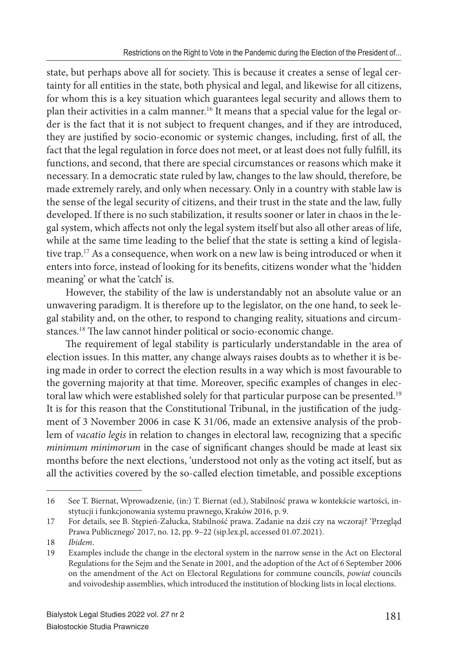state, but perhaps above all for society. This is because it creates a sense of legal certainty for all entities in the state, both physical and legal, and likewise for all citizens, for whom this is a key situation which guarantees legal security and allows them to plan their activities in a calm manner.16 It means that a special value for the legal order is the fact that it is not subject to frequent changes, and if they are introduced, they are justified by socio-economic or systemic changes, including, first of all, the fact that the legal regulation in force does not meet, or at least does not fully fulfill, its functions, and second, that there are special circumstances or reasons which make it necessary. In a democratic state ruled by law, changes to the law should, therefore, be made extremely rarely, and only when necessary. Only in a country with stable law is the sense of the legal security of citizens, and their trust in the state and the law, fully developed. If there is no such stabilization, it results sooner or later in chaos in the legal system, which affects not only the legal system itself but also all other areas of life, while at the same time leading to the belief that the state is setting a kind of legislative trap.<sup>17</sup> As a consequence, when work on a new law is being introduced or when it enters into force, instead of looking for its benefits, citizens wonder what the 'hidden meaning' or what the 'catch' is.

However, the stability of the law is understandably not an absolute value or an unwavering paradigm. It is therefore up to the legislator, on the one hand, to seek legal stability and, on the other, to respond to changing reality, situations and circumstances.<sup>18</sup> The law cannot hinder political or socio-economic change.

The requirement of legal stability is particularly understandable in the area of election issues. In this matter, any change always raises doubts as to whether it is being made in order to correct the election results in a way which is most favourable to the governing majority at that time. Moreover, specific examples of changes in electoral law which were established solely for that particular purpose can be presented.<sup>19</sup> It is for this reason that the Constitutional Tribunal, in the justification of the judgment of 3 November 2006 in case K 31/06, made an extensive analysis of the problem of *vacatio legis* in relation to changes in electoral law, recognizing that a specific *minimum minimorum* in the case of significant changes should be made at least six months before the next elections, 'understood not only as the voting act itself, but as all the activities covered by the so-called election timetable, and possible exceptions

<sup>16</sup> See T. Biernat, Wprowadzenie, (in:) T. Biernat (ed.), Stabilność prawa w kontekście wartości, instytucji i funkcjonowania systemu prawnego, Kraków 2016, p. 9.

<sup>17</sup> For details, see B. Stępień-Załucka, Stabilność prawa. Zadanie na dziś czy na wczoraj? 'Przegląd Prawa Publicznego' 2017, no. 12, pp. 9–22 (sip.lex.pl, accessed 01.07.2021).

<sup>18</sup> *Ibidem*.

<sup>19</sup> Examples include the change in the electoral system in the narrow sense in the Act on Electoral Regulations for the Sejm and the Senate in 2001, and the adoption of the Act of 6 September 2006 on the amendment of the Act on Electoral Regulations for commune councils, *powiat* councils and voivodeship assemblies, which introduced the institution of blocking lists in local elections.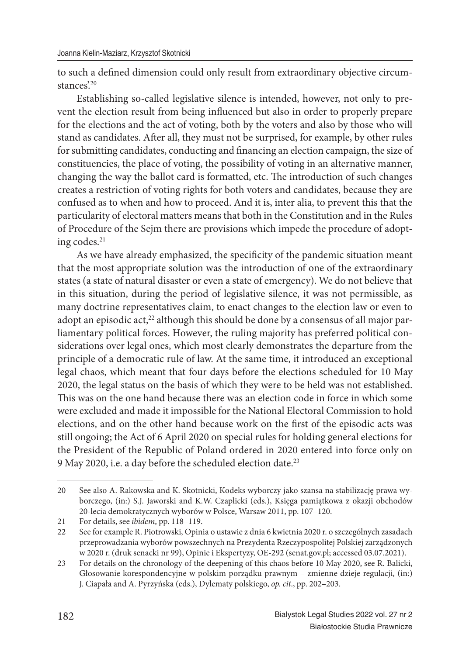to such a defined dimension could only result from extraordinary objective circumstances $20$ 

Establishing so-called legislative silence is intended, however, not only to prevent the election result from being influenced but also in order to properly prepare for the elections and the act of voting, both by the voters and also by those who will stand as candidates. After all, they must not be surprised, for example, by other rules for submitting candidates, conducting and financing an election campaign, the size of constituencies, the place of voting, the possibility of voting in an alternative manner, changing the way the ballot card is formatted, etc. The introduction of such changes creates a restriction of voting rights for both voters and candidates, because they are confused as to when and how to proceed. And it is, inter alia, to prevent this that the particularity of electoral matters means that both in the Constitution and in the Rules of Procedure of the Sejm there are provisions which impede the procedure of adopting codes.<sup>21</sup>

As we have already emphasized, the specificity of the pandemic situation meant that the most appropriate solution was the introduction of one of the extraordinary states (a state of natural disaster or even a state of emergency). We do not believe that in this situation, during the period of legislative silence, it was not permissible, as many doctrine representatives claim, to enact changes to the election law or even to adopt an episodic act, $2<sup>2</sup>$  although this should be done by a consensus of all major parliamentary political forces. However, the ruling majority has preferred political considerations over legal ones, which most clearly demonstrates the departure from the principle of a democratic rule of law. At the same time, it introduced an exceptional legal chaos, which meant that four days before the elections scheduled for 10 May 2020, the legal status on the basis of which they were to be held was not established. This was on the one hand because there was an election code in force in which some were excluded and made it impossible for the National Electoral Commission to hold elections, and on the other hand because work on the first of the episodic acts was still ongoing; the Act of 6 April 2020 on special rules for holding general elections for the President of the Republic of Poland ordered in 2020 entered into force only on 9 May 2020, i.e. a day before the scheduled election date.<sup>23</sup>

<sup>20</sup> See also A. Rakowska and K. Skotnicki, Kodeks wyborczy jako szansa na stabilizację prawa wyborczego, (in:) S.J. Jaworski and K.W. Czaplicki (eds.), Księga pamiątkowa z okazji obchodów 20-lecia demokratycznych wyborów w Polsce, Warsaw 2011, pp. 107–120.

<sup>21</sup> For details, see *ibidem*, pp. 118–119.

<sup>22</sup> See for example R. Piotrowski, Opinia o ustawie z dnia 6 kwietnia 2020 r. o szczególnych zasadach przeprowadzania wyborów powszechnych na Prezydenta Rzeczypospolitej Polskiej zarządzonych w 2020 r. (druk senacki nr 99), Opinie i Ekspertyzy, OE-292 (senat.gov.pl; accessed 03.07.2021).

<sup>23</sup> For details on the chronology of the deepening of this chaos before 10 May 2020, see R. Balicki, Głosowanie korespondencyjne w polskim porządku prawnym – zmienne dzieje regulacji, (in:) J. Ciapała and A. Pyrzyńska (eds.), Dylematy polskiego, *op. cit*., pp. 202–203.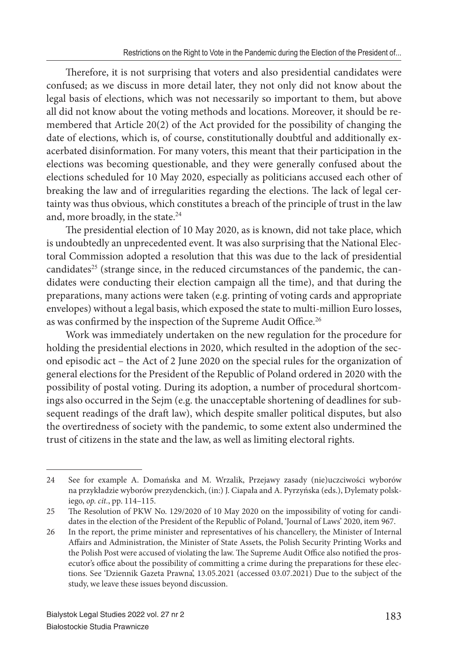Therefore, it is not surprising that voters and also presidential candidates were confused; as we discuss in more detail later, they not only did not know about the legal basis of elections, which was not necessarily so important to them, but above all did not know about the voting methods and locations. Moreover, it should be remembered that Article 20(2) of the Act provided for the possibility of changing the date of elections, which is, of course, constitutionally doubtful and additionally exacerbated disinformation. For many voters, this meant that their participation in the elections was becoming questionable, and they were generally confused about the elections scheduled for 10 May 2020, especially as politicians accused each other of breaking the law and of irregularities regarding the elections. The lack of legal certainty was thus obvious, which constitutes a breach of the principle of trust in the law and, more broadly, in the state.<sup>24</sup>

The presidential election of 10 May 2020, as is known, did not take place, which is undoubtedly an unprecedented event. It was also surprising that the National Electoral Commission adopted a resolution that this was due to the lack of presidential candidates<sup>25</sup> (strange since, in the reduced circumstances of the pandemic, the candidates were conducting their election campaign all the time), and that during the preparations, many actions were taken (e.g. printing of voting cards and appropriate envelopes) without a legal basis, which exposed the state to multi-million Euro losses, as was confirmed by the inspection of the Supreme Audit Office.<sup>26</sup>

Work was immediately undertaken on the new regulation for the procedure for holding the presidential elections in 2020, which resulted in the adoption of the second episodic act – the Act of 2 June 2020 on the special rules for the organization of general elections for the President of the Republic of Poland ordered in 2020 with the possibility of postal voting. During its adoption, a number of procedural shortcomings also occurred in the Sejm (e.g. the unacceptable shortening of deadlines for subsequent readings of the draft law), which despite smaller political disputes, but also the overtiredness of society with the pandemic, to some extent also undermined the trust of citizens in the state and the law, as well as limiting electoral rights.

<sup>24</sup> See for example A. Domańska and M. Wrzalik, Przejawy zasady (nie)uczciwości wyborów na przykładzie wyborów prezydenckich, (in:) J. Ciapała and A. Pyrzyńska (eds.), Dylematy polskiego, *op. cit.*, pp. 114–115.

<sup>25</sup> The Resolution of PKW No. 129/2020 of 10 May 2020 on the impossibility of voting for candidates in the election of the President of the Republic of Poland, 'Journal of Laws' 2020, item 967.

<sup>26</sup> In the report, the prime minister and representatives of his chancellery, the Minister of Internal Affairs and Administration, the Minister of State Assets, the Polish Security Printing Works and the Polish Post were accused of violating the law. The Supreme Audit Office also notified the prosecutor's office about the possibility of committing a crime during the preparations for these elections. See 'Dziennik Gazeta Prawna', 13.05.2021 (accessed 03.07.2021) Due to the subject of the study, we leave these issues beyond discussion.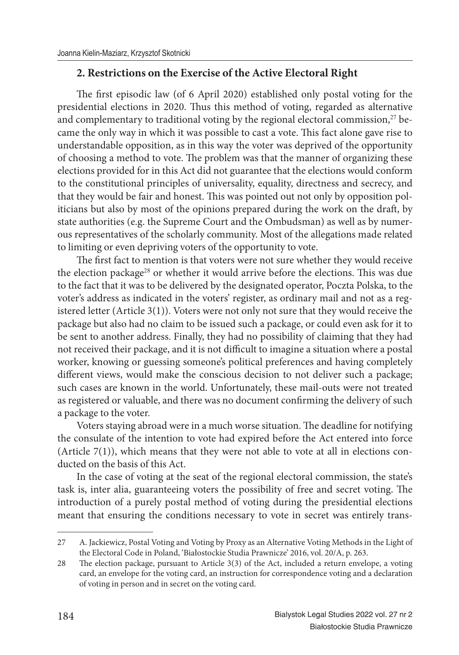# **2. Restrictions on the Exercise of the Active Electoral Right**

The first episodic law (of 6 April 2020) established only postal voting for the presidential elections in 2020. Thus this method of voting, regarded as alternative and complementary to traditional voting by the regional electoral commission, $27$  became the only way in which it was possible to cast a vote. This fact alone gave rise to understandable opposition, as in this way the voter was deprived of the opportunity of choosing a method to vote. The problem was that the manner of organizing these elections provided for in this Act did not guarantee that the elections would conform to the constitutional principles of universality, equality, directness and secrecy, and that they would be fair and honest. This was pointed out not only by opposition politicians but also by most of the opinions prepared during the work on the draft, by state authorities (e.g. the Supreme Court and the Ombudsman) as well as by numerous representatives of the scholarly community. Most of the allegations made related to limiting or even depriving voters of the opportunity to vote.

The first fact to mention is that voters were not sure whether they would receive the election package<sup>28</sup> or whether it would arrive before the elections. This was due to the fact that it was to be delivered by the designated operator, Poczta Polska, to the voter's address as indicated in the voters' register, as ordinary mail and not as a registered letter (Article 3(1)). Voters were not only not sure that they would receive the package but also had no claim to be issued such a package, or could even ask for it to be sent to another address. Finally, they had no possibility of claiming that they had not received their package, and it is not difficult to imagine a situation where a postal worker, knowing or guessing someone's political preferences and having completely different views, would make the conscious decision to not deliver such a package; such cases are known in the world. Unfortunately, these mail-outs were not treated as registered or valuable, and there was no document confirming the delivery of such a package to the voter.

Voters staying abroad were in a much worse situation. The deadline for notifying the consulate of the intention to vote had expired before the Act entered into force (Article 7(1)), which means that they were not able to vote at all in elections conducted on the basis of this Act.

In the case of voting at the seat of the regional electoral commission, the state's task is, inter alia, guaranteeing voters the possibility of free and secret voting. The introduction of a purely postal method of voting during the presidential elections meant that ensuring the conditions necessary to vote in secret was entirely trans-

<sup>27</sup> A. Jackiewicz, Postal Voting and Voting by Proxy as an Alternative Voting Methods in the Light of the Electoral Code in Poland, 'Białostockie Studia Prawnicze' 2016, vol. 20/A, p. 263.

<sup>28</sup> The election package, pursuant to Article 3(3) of the Act, included a return envelope, a voting card, an envelope for the voting card, an instruction for correspondence voting and a declaration of voting in person and in secret on the voting card.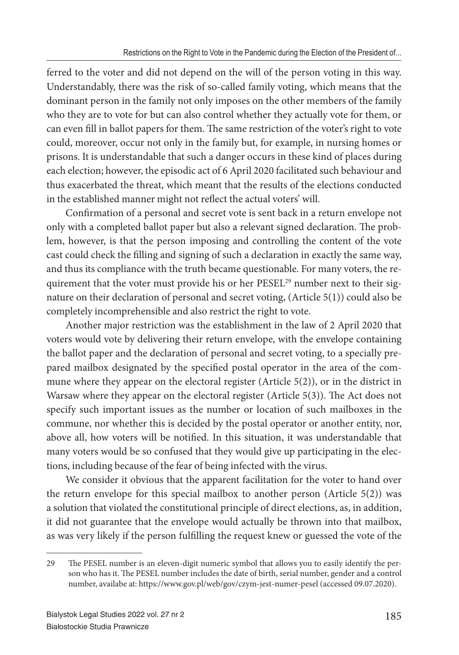ferred to the voter and did not depend on the will of the person voting in this way. Understandably, there was the risk of so-called family voting, which means that the dominant person in the family not only imposes on the other members of the family who they are to vote for but can also control whether they actually vote for them, or can even fill in ballot papers for them. The same restriction of the voter's right to vote could, moreover, occur not only in the family but, for example, in nursing homes or prisons. It is understandable that such a danger occurs in these kind of places during each election; however, the episodic act of 6 April 2020 facilitated such behaviour and thus exacerbated the threat, which meant that the results of the elections conducted in the established manner might not reflect the actual voters' will.

Confirmation of a personal and secret vote is sent back in a return envelope not only with a completed ballot paper but also a relevant signed declaration. The problem, however, is that the person imposing and controlling the content of the vote cast could check the filling and signing of such a declaration in exactly the same way, and thus its compliance with the truth became questionable. For many voters, the requirement that the voter must provide his or her PESEL<sup>29</sup> number next to their signature on their declaration of personal and secret voting, (Article 5(1)) could also be completely incomprehensible and also restrict the right to vote.

Another major restriction was the establishment in the law of 2 April 2020 that voters would vote by delivering their return envelope, with the envelope containing the ballot paper and the declaration of personal and secret voting, to a specially prepared mailbox designated by the specified postal operator in the area of the commune where they appear on the electoral register (Article 5(2)), or in the district in Warsaw where they appear on the electoral register (Article 5(3)). The Act does not specify such important issues as the number or location of such mailboxes in the commune, nor whether this is decided by the postal operator or another entity, nor, above all, how voters will be notified. In this situation, it was understandable that many voters would be so confused that they would give up participating in the elections, including because of the fear of being infected with the virus.

We consider it obvious that the apparent facilitation for the voter to hand over the return envelope for this special mailbox to another person (Article 5(2)) was a solution that violated the constitutional principle of direct elections, as, in addition, it did not guarantee that the envelope would actually be thrown into that mailbox, as was very likely if the person fulfilling the request knew or guessed the vote of the

<sup>29</sup> The PESEL number is an eleven-digit numeric symbol that allows you to easily identify the person who has it. The PESEL number includes the date of birth, serial number, gender and a control number, availabe at: https://www.gov.pl/web/gov/czym-jest-numer-pesel (accessed 09.07.2020).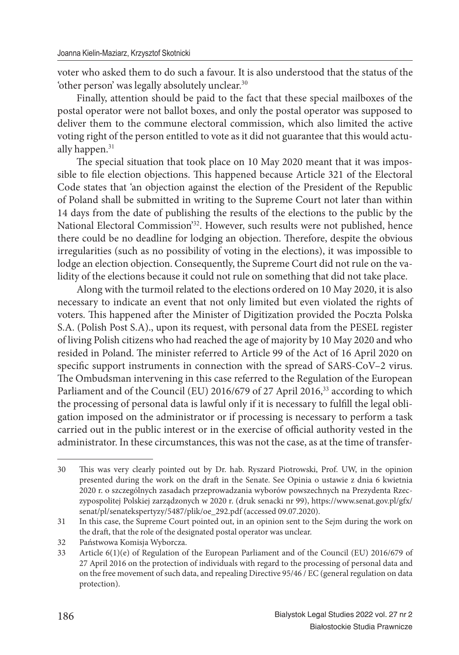voter who asked them to do such a favour. It is also understood that the status of the 'other person' was legally absolutely unclear.<sup>30</sup>

Finally, attention should be paid to the fact that these special mailboxes of the postal operator were not ballot boxes, and only the postal operator was supposed to deliver them to the commune electoral commission, which also limited the active voting right of the person entitled to vote as it did not guarantee that this would actually happen.<sup>31</sup>

The special situation that took place on 10 May 2020 meant that it was impossible to file election objections. This happened because Article 321 of the Electoral Code states that 'an objection against the election of the President of the Republic of Poland shall be submitted in writing to the Supreme Court not later than within 14 days from the date of publishing the results of the elections to the public by the National Electoral Commission'<sup>32</sup>. However, such results were not published, hence there could be no deadline for lodging an objection. Therefore, despite the obvious irregularities (such as no possibility of voting in the elections), it was impossible to lodge an election objection. Consequently, the Supreme Court did not rule on the validity of the elections because it could not rule on something that did not take place.

Along with the turmoil related to the elections ordered on 10 May 2020, it is also necessary to indicate an event that not only limited but even violated the rights of voters. This happened after the Minister of Digitization provided the Poczta Polska S.A. (Polish Post S.A)., upon its request, with personal data from the PESEL register of living Polish citizens who had reached the age of majority by 10 May 2020 and who resided in Poland. The minister referred to Article 99 of the Act of 16 April 2020 on specific support instruments in connection with the spread of SARS-CoV–2 virus. The Ombudsman intervening in this case referred to the Regulation of the European Parliament and of the Council (EU) 2016/679 of 27 April 2016,<sup>33</sup> according to which the processing of personal data is lawful only if it is necessary to fulfill the legal obligation imposed on the administrator or if processing is necessary to perform a task carried out in the public interest or in the exercise of official authority vested in the administrator. In these circumstances, this was not the case, as at the time of transfer-

<sup>30</sup> This was very clearly pointed out by Dr. hab. Ryszard Piotrowski, Prof. UW, in the opinion presented during the work on the draft in the Senate. See Opinia o ustawie z dnia 6 kwietnia 2020 r. o szczególnych zasadach przeprowadzania wyborów powszechnych na Prezydenta Rzeczypospolitej Polskiej zarządzonych w 2020 r. (druk senacki nr 99), https://www.senat.gov.pl/gfx/ senat/pl/senatekspertyzy/5487/plik/oe\_292.pdf (accessed 09.07.2020).

<sup>31</sup> In this case, the Supreme Court pointed out, in an opinion sent to the Sejm during the work on the draft, that the role of the designated postal operator was unclear.

<sup>32</sup> Państwowa Komisja Wyborcza.

<sup>33</sup> Article 6(1)(e) of Regulation of the European Parliament and of the Council (EU) 2016/679 of 27 April 2016 on the protection of individuals with regard to the processing of personal data and on the free movement of such data, and repealing Directive 95/46 / EC (general regulation on data protection).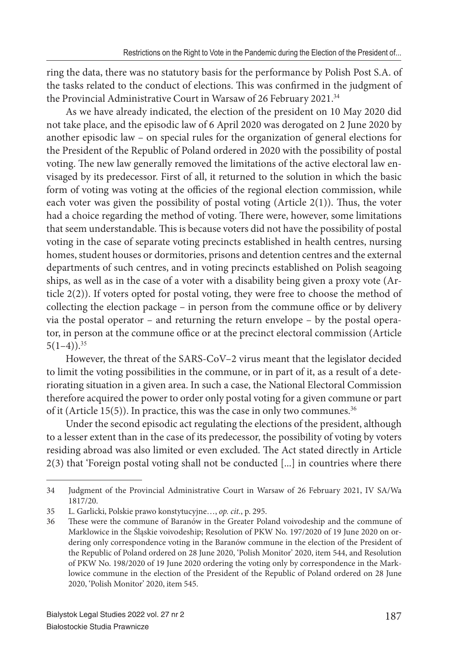ring the data, there was no statutory basis for the performance by Polish Post S.A. of the tasks related to the conduct of elections. This was confirmed in the judgment of the Provincial Administrative Court in Warsaw of 26 February 2021.<sup>34</sup>

As we have already indicated, the election of the president on 10 May 2020 did not take place, and the episodic law of 6 April 2020 was derogated on 2 June 2020 by another episodic law – on special rules for the organization of general elections for the President of the Republic of Poland ordered in 2020 with the possibility of postal voting. The new law generally removed the limitations of the active electoral law envisaged by its predecessor. First of all, it returned to the solution in which the basic form of voting was voting at the officies of the regional election commission, while each voter was given the possibility of postal voting (Article  $2(1)$ ). Thus, the voter had a choice regarding the method of voting. There were, however, some limitations that seem understandable. This is because voters did not have the possibility of postal voting in the case of separate voting precincts established in health centres, nursing homes, student houses or dormitories, prisons and detention centres and the external departments of such centres, and in voting precincts established on Polish seagoing ships, as well as in the case of a voter with a disability being given a proxy vote (Article 2(2)). If voters opted for postal voting, they were free to choose the method of collecting the election package – in person from the commune office or by delivery via the postal operator – and returning the return envelope – by the postal operator, in person at the commune office or at the precinct electoral commission (Article  $5(1-4)$ .<sup>35</sup>

However, the threat of the SARS-CoV–2 virus meant that the legislator decided to limit the voting possibilities in the commune, or in part of it, as a result of a deteriorating situation in a given area. In such a case, the National Electoral Commission therefore acquired the power to order only postal voting for a given commune or part of it (Article 15(5)). In practice, this was the case in only two communes.<sup>36</sup>

Under the second episodic act regulating the elections of the president, although to a lesser extent than in the case of its predecessor, the possibility of voting by voters residing abroad was also limited or even excluded. The Act stated directly in Article 2(3) that 'Foreign postal voting shall not be conducted [...] in countries where there

<sup>34</sup> Judgment of the Provincial Administrative Court in Warsaw of 26 February 2021, IV SA/Wa 1817/20.

<sup>35</sup> L. Garlicki, Polskie prawo konstytucyjne…, *op. cit.*, p. 295.

<sup>36</sup> These were the commune of Baranów in the Greater Poland voivodeship and the commune of Marklowice in the Śląskie voivodeship; Resolution of PKW No. 197/2020 of 19 June 2020 on ordering only correspondence voting in the Baranów commune in the election of the President of the Republic of Poland ordered on 28 June 2020, 'Polish Monitor' 2020, item 544, and Resolution of PKW No. 198/2020 of 19 June 2020 ordering the voting only by correspondence in the Marklowice commune in the election of the President of the Republic of Poland ordered on 28 June 2020, 'Polish Monitor' 2020, item 545.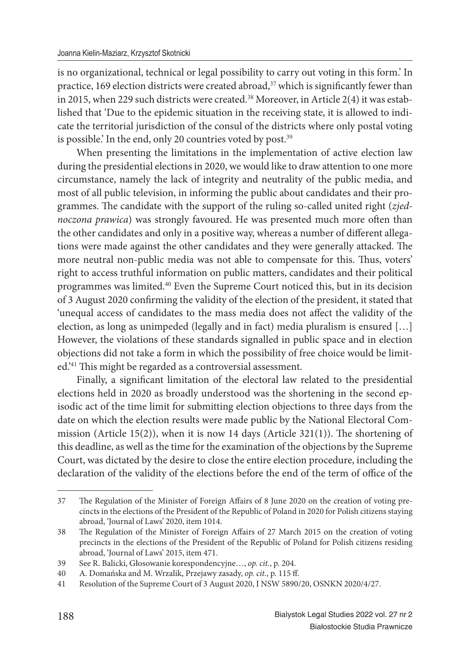is no organizational, technical or legal possibility to carry out voting in this form.' In practice, 169 election districts were created abroad, $37$  which is significantly fewer than in 2015, when 229 such districts were created.<sup>38</sup> Moreover, in Article 2(4) it was established that 'Due to the epidemic situation in the receiving state, it is allowed to indicate the territorial jurisdiction of the consul of the districts where only postal voting is possible.' In the end, only 20 countries voted by post.<sup>39</sup>

When presenting the limitations in the implementation of active election law during the presidential elections in 2020, we would like to draw attention to one more circumstance, namely the lack of integrity and neutrality of the public media, and most of all public television, in informing the public about candidates and their programmes. The candidate with the support of the ruling so-called united right (zjed*noczona prawica*) was strongly favoured. He was presented much more often than the other candidates and only in a positive way, whereas a number of different allegations were made against the other candidates and they were generally attacked. The more neutral non-public media was not able to compensate for this. Thus, voters' right to access truthful information on public matters, candidates and their political programmes was limited.<sup>40</sup> Even the Supreme Court noticed this, but in its decision of 3 August 2020 confirming the validity of the election of the president, it stated that 'unequal access of candidates to the mass media does not affect the validity of the election, as long as unimpeded (legally and in fact) media pluralism is ensured […] However, the violations of these standards signalled in public space and in election objections did not take a form in which the possibility of free choice would be limited.'<sup>41</sup> This might be regarded as a controversial assessment.

Finally, a significant limitation of the electoral law related to the presidential elections held in 2020 as broadly understood was the shortening in the second episodic act of the time limit for submitting election objections to three days from the date on which the election results were made public by the National Electoral Commission (Article 15(2)), when it is now 14 days (Article  $321(1)$ ). The shortening of this deadline, as well as the time for the examination of the objections by the Supreme Court, was dictated by the desire to close the entire election procedure, including the declaration of the validity of the elections before the end of the term of office of the

<sup>37</sup> The Regulation of the Minister of Foreign Affairs of 8 June 2020 on the creation of voting precincts in the elections of the President of the Republic of Poland in 2020 for Polish citizens staying abroad, 'Journal of Laws' 2020, item 1014.

<sup>38</sup> The Regulation of the Minister of Foreign Affairs of 27 March 2015 on the creation of voting precincts in the elections of the President of the Republic of Poland for Polish citizens residing abroad, 'Journal of Laws' 2015, item 471.

<sup>39</sup> See R. Balicki, Głosowanie korespondencyjne…, *op. cit.*, p. 204.

<sup>40</sup> A. Domańska and M. Wrzalik, Przejawy zasady, *op. cit.*, p. 115 ff .

<sup>41</sup> Resolution of the Supreme Court of 3 August 2020, I NSW 5890/20, OSNKN 2020/4/27.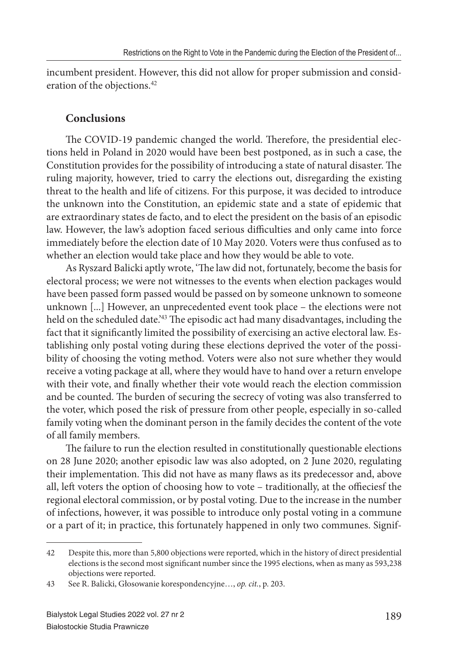incumbent president. However, this did not allow for proper submission and consideration of the objections.<sup>42</sup>

### **Conclusions**

The COVID-19 pandemic changed the world. Therefore, the presidential elections held in Poland in 2020 would have been best postponed, as in such a case, the Constitution provides for the possibility of introducing a state of natural disaster. The ruling majority, however, tried to carry the elections out, disregarding the existing threat to the health and life of citizens. For this purpose, it was decided to introduce the unknown into the Constitution, an epidemic state and a state of epidemic that are extraordinary states de facto, and to elect the president on the basis of an episodic law. However, the law's adoption faced serious difficulties and only came into force immediately before the election date of 10 May 2020. Voters were thus confused as to whether an election would take place and how they would be able to vote.

As Ryszard Balicki aptly wrote, 'The law did not, fortunately, become the basis for electoral process; we were not witnesses to the events when election packages would have been passed form passed would be passed on by someone unknown to someone unknown [...] However, an unprecedented event took place – the elections were not held on the scheduled date.<sup>243</sup> The episodic act had many disadvantages, including the fact that it significantly limited the possibility of exercising an active electoral law. Establishing only postal voting during these elections deprived the voter of the possibility of choosing the voting method. Voters were also not sure whether they would receive a voting package at all, where they would have to hand over a return envelope with their vote, and finally whether their vote would reach the election commission and be counted. The burden of securing the secrecy of voting was also transferred to the voter, which posed the risk of pressure from other people, especially in so-called family voting when the dominant person in the family decides the content of the vote of all family members.

The failure to run the election resulted in constitutionally questionable elections on 28 June 2020; another episodic law was also adopted, on 2 June 2020, regulating their implementation. This did not have as many flaws as its predecessor and, above all, left voters the option of choosing how to vote – traditionally, at the offieciesf the regional electoral commission, or by postal voting. Due to the increase in the number of infections, however, it was possible to introduce only postal voting in a commune or a part of it; in practice, this fortunately happened in only two communes. Signif-

<sup>42</sup> Despite this, more than 5,800 objections were reported, which in the history of direct presidential elections is the second most significant number since the 1995 elections, when as many as 593,238 objections were reported.

<sup>43</sup> See R. Balicki, Głosowanie korespondencyjne…, *op. cit.*, p. 203.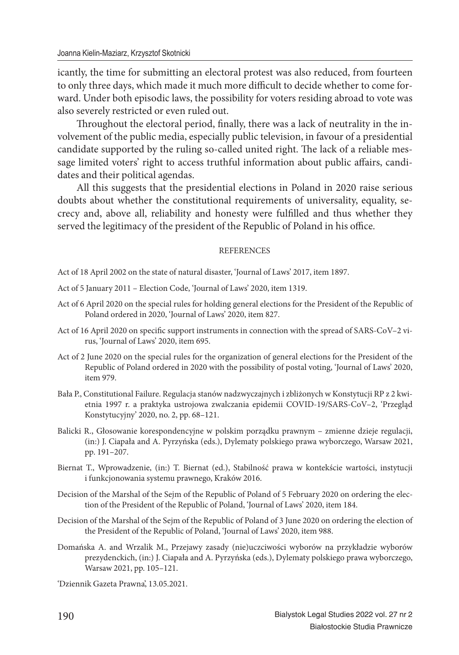icantly, the time for submitting an electoral protest was also reduced, from fourteen to only three days, which made it much more difficult to decide whether to come forward. Under both episodic laws, the possibility for voters residing abroad to vote was also severely restricted or even ruled out.

Throughout the electoral period, finally, there was a lack of neutrality in the involvement of the public media, especially public television, in favour of a presidential candidate supported by the ruling so-called united right. The lack of a reliable message limited voters' right to access truthful information about public affairs, candidates and their political agendas.

All this suggests that the presidential elections in Poland in 2020 raise serious doubts about whether the constitutional requirements of universality, equality, secrecy and, above all, reliability and honesty were fulfilled and thus whether they served the legitimacy of the president of the Republic of Poland in his office.

#### **REFERENCES**

Act of 18 April 2002 on the state of natural disaster, 'Journal of Laws' 2017, item 1897.

Act of 5 January 2011 – Election Code, 'Journal of Laws' 2020, item 1319.

- Act of 6 April 2020 on the special rules for holding general elections for the President of the Republic of Poland ordered in 2020, 'Journal of Laws' 2020, item 827.
- Act of 16 April 2020 on specific support instruments in connection with the spread of SARS-CoV–2 virus, 'Journal of Laws' 2020, item 695.
- Act of 2 June 2020 on the special rules for the organization of general elections for the President of the Republic of Poland ordered in 2020 with the possibility of postal voting, 'Journal of Laws' 2020, item 979.
- Bała P., Constitutional Failure. Regulacja stanów nadzwyczajnych i zbliżonych w Konstytucji RP z 2 kwietnia 1997 r. a praktyka ustrojowa zwalczania epidemii COVID-19/SARS-CoV–2, 'Przegląd Konstytucyjny' 2020, no. 2, pp. 68–121.
- Balicki R., Głosowanie korespondencyjne w polskim porządku prawnym zmienne dzieje regulacji, (in:) J. Ciapała and A. Pyrzyńska (eds.), Dylematy polskiego prawa wyborczego, Warsaw 2021, pp. 191–207.
- Biernat T., Wprowadzenie, (in:) T. Biernat (ed.), Stabilność prawa w kontekście wartości, instytucji i funkcjonowania systemu prawnego, Kraków 2016.
- Decision of the Marshal of the Sejm of the Republic of Poland of 5 February 2020 on ordering the election of the President of the Republic of Poland, 'Journal of Laws' 2020, item 184.
- Decision of the Marshal of the Sejm of the Republic of Poland of 3 June 2020 on ordering the election of the President of the Republic of Poland, 'Journal of Laws' 2020, item 988.
- Domańska A. and Wrzalik M., Przejawy zasady (nie)uczciwości wyborów na przykładzie wyborów prezydenckich, (in:) J. Ciapała and A. Pyrzyńska (eds.), Dylematy polskiego prawa wyborczego, Warsaw 2021, pp. 105–121.

'Dziennik Gazeta Prawna', 13.05.2021.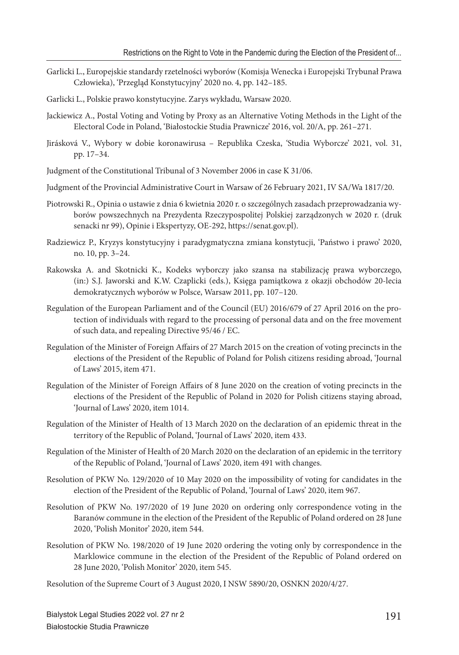- Garlicki L., Europejskie standardy rzetelności wyborów (Komisja Wenecka i Europejski Trybunał Prawa Człowieka), 'Przegląd Konstytucyjny' 2020 no. 4, pp. 142–185.
- Garlicki L., Polskie prawo konstytucyjne. Zarys wykładu, Warsaw 2020.
- Jackiewicz A., Postal Voting and Voting by Proxy as an Alternative Voting Methods in the Light of the Electoral Code in Poland, 'Białostockie Studia Prawnicze' 2016, vol. 20/A, pp. 261–271.
- Jirásková V., Wybory w dobie koronawirusa Republika Czeska, 'Studia Wyborcze' 2021, vol. 31, pp. 17–34.
- Judgment of the Constitutional Tribunal of 3 November 2006 in case K 31/06.
- Judgment of the Provincial Administrative Court in Warsaw of 26 February 2021, IV SA/Wa 1817/20.
- Piotrowski R., Opinia o ustawie z dnia 6 kwietnia 2020 r. o szczególnych zasadach przeprowadzania wyborów powszechnych na Prezydenta Rzeczypospolitej Polskiej zarządzonych w 2020 r. (druk senacki nr 99), Opinie i Ekspertyzy, OE-292, https://senat.gov.pl).
- Radziewicz P., Kryzys konstytucyjny i paradygmatyczna zmiana konstytucji, 'Państwo i prawo' 2020, no. 10, pp. 3–24.
- Rakowska A. and Skotnicki K., Kodeks wyborczy jako szansa na stabilizację prawa wyborczego, (in:) S.J. Jaworski and K.W. Czaplicki (eds.), Księga pamiątkowa z okazji obchodów 20-lecia demokratycznych wyborów w Polsce, Warsaw 2011, pp. 107–120.
- Regulation of the European Parliament and of the Council (EU) 2016/679 of 27 April 2016 on the protection of individuals with regard to the processing of personal data and on the free movement of such data, and repealing Directive 95/46 / EC.
- Regulation of the Minister of Foreign Affairs of 27 March 2015 on the creation of voting precincts in the elections of the President of the Republic of Poland for Polish citizens residing abroad, 'Journal of Laws' 2015, item 471.
- Regulation of the Minister of Foreign Affairs of 8 June 2020 on the creation of voting precincts in the elections of the President of the Republic of Poland in 2020 for Polish citizens staying abroad, 'Journal of Laws' 2020, item 1014.
- Regulation of the Minister of Health of 13 March 2020 on the declaration of an epidemic threat in the territory of the Republic of Poland, 'Journal of Laws' 2020, item 433.
- Regulation of the Minister of Health of 20 March 2020 on the declaration of an epidemic in the territory of the Republic of Poland, 'Journal of Laws' 2020, item 491 with changes.
- Resolution of PKW No. 129/2020 of 10 May 2020 on the impossibility of voting for candidates in the election of the President of the Republic of Poland, 'Journal of Laws' 2020, item 967.
- Resolution of PKW No. 197/2020 of 19 June 2020 on ordering only correspondence voting in the Baranów commune in the election of the President of the Republic of Poland ordered on 28 June 2020, 'Polish Monitor' 2020, item 544.
- Resolution of PKW No. 198/2020 of 19 June 2020 ordering the voting only by correspondence in the Marklowice commune in the election of the President of the Republic of Poland ordered on 28 June 2020, 'Polish Monitor' 2020, item 545.

Resolution of the Supreme Court of 3 August 2020, I NSW 5890/20, OSNKN 2020/4/27.